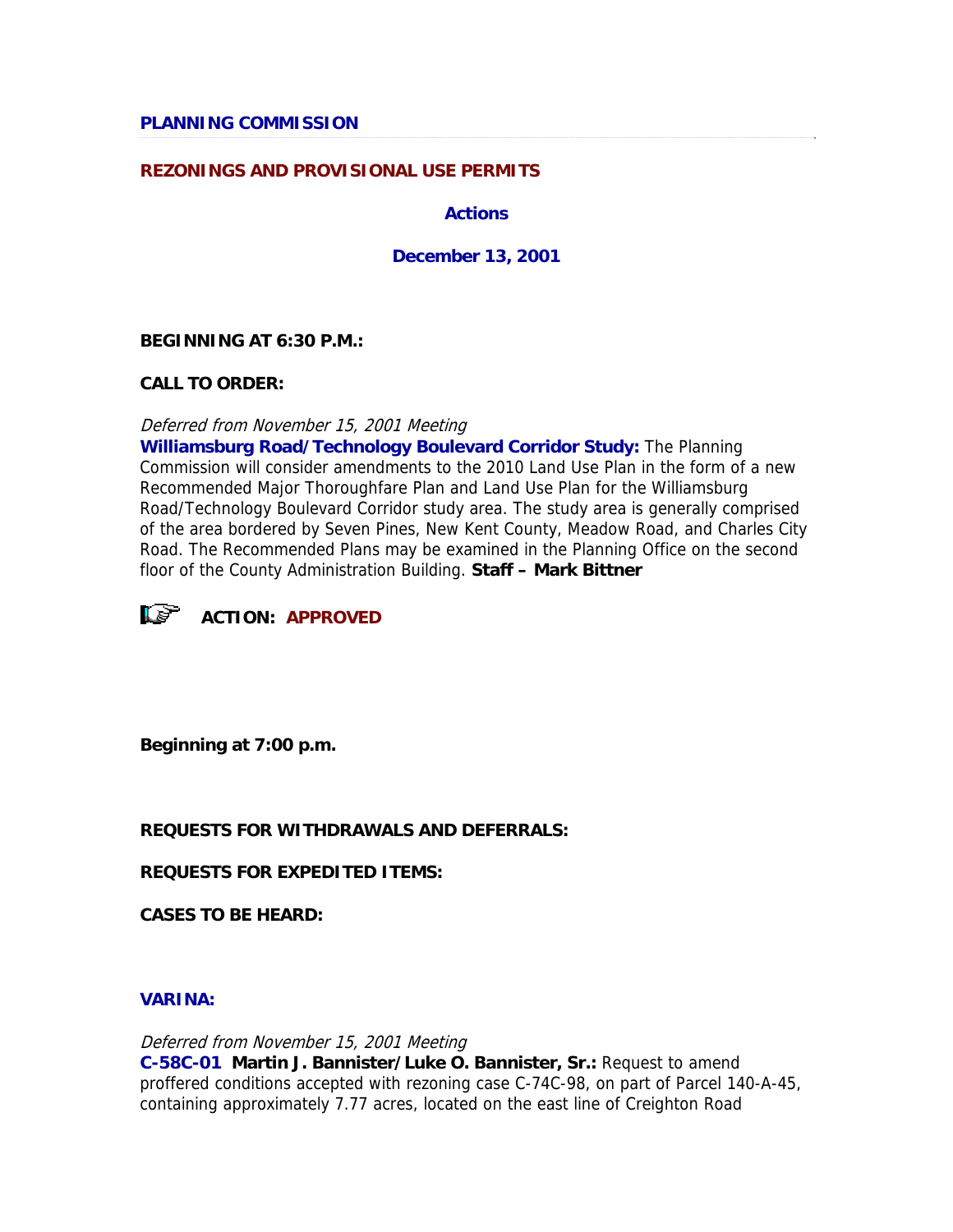## **REZONINGS AND PROVISIONAL USE PERMITS**

**Actions** 

**December 13, 2001** 

### **BEGINNING AT 6:30 P.M.:**

**CALL TO ORDER:**

Deferred from November 15, 2001 Meeting

**Williamsburg Road/Technology Boulevard Corridor Study:** The Planning Commission will consider amendments to the 2010 Land Use Plan in the form of a new Recommended Major Thoroughfare Plan and Land Use Plan for the Williamsburg Road/Technology Boulevard Corridor study area. The study area is generally comprised of the area bordered by Seven Pines, New Kent County, Meadow Road, and Charles City Road. The Recommended Plans may be examined in the Planning Office on the second floor of the County Administration Building. **Staff – Mark Bittner**



**ACTION: APPROVED**

**Beginning at 7:00 p.m.**

### **REQUESTS FOR WITHDRAWALS AND DEFERRALS:**

**REQUESTS FOR EXPEDITED ITEMS:**

**CASES TO BE HEARD:**

### **VARINA:**

Deferred from November 15, 2001 Meeting **C-58C-01 Martin J. Bannister/Luke O. Bannister, Sr.:** Request to amend proffered conditions accepted with rezoning case C-74C-98, on part of Parcel 140-A-45, containing approximately 7.77 acres, located on the east line of Creighton Road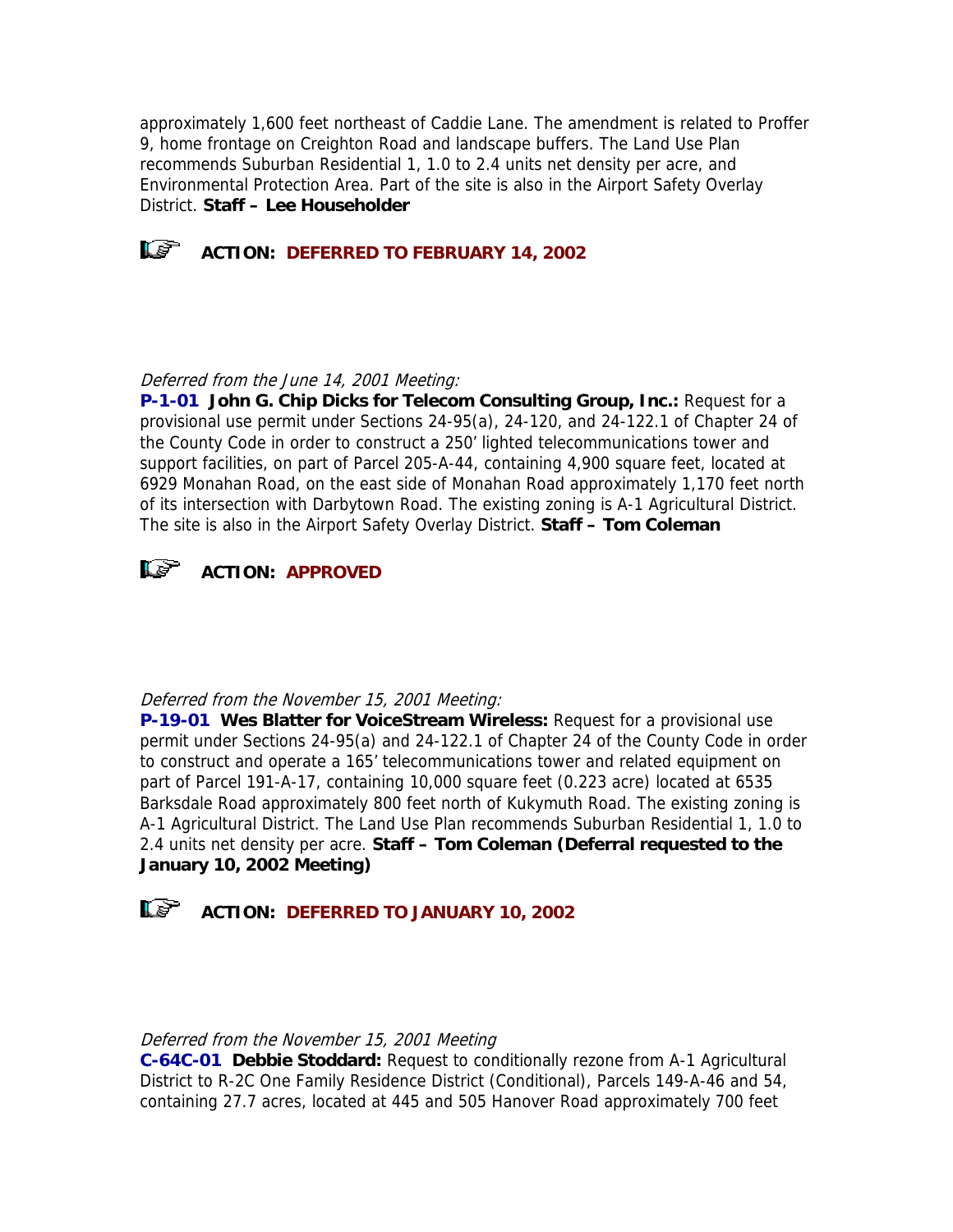approximately 1,600 feet northeast of Caddie Lane. The amendment is related to Proffer 9, home frontage on Creighton Road and landscape buffers. The Land Use Plan recommends Suburban Residential 1, 1.0 to 2.4 units net density per acre, and Environmental Protection Area. Part of the site is also in the Airport Safety Overlay District. **Staff – Lee Householder**



**ACTION: DEFERRED TO FEBRUARY 14, 2002** 

# Deferred from the June 14, 2001 Meeting:

**P-1-01 John G. Chip Dicks for Telecom Consulting Group, Inc.:** Request for a provisional use permit under Sections 24-95(a), 24-120, and 24-122.1 of Chapter 24 of the County Code in order to construct a 250' lighted telecommunications tower and support facilities, on part of Parcel 205-A-44, containing 4,900 square feet, located at 6929 Monahan Road, on the east side of Monahan Road approximately 1,170 feet north of its intersection with Darbytown Road. The existing zoning is A-1 Agricultural District. The site is also in the Airport Safety Overlay District. **Staff – Tom Coleman**



## Deferred from the November 15, 2001 Meeting:

**P-19-01 Wes Blatter for VoiceStream Wireless:** Request for a provisional use permit under Sections 24-95(a) and 24-122.1 of Chapter 24 of the County Code in order to construct and operate a 165' telecommunications tower and related equipment on part of Parcel 191-A-17, containing 10,000 square feet (0.223 acre) located at 6535 Barksdale Road approximately 800 feet north of Kukymuth Road. The existing zoning is A-1 Agricultural District. The Land Use Plan recommends Suburban Residential 1, 1.0 to 2.4 units net density per acre. **Staff – Tom Coleman (Deferral requested to the January 10, 2002 Meeting)**



## Deferred from the November 15, 2001 Meeting

**C-64C-01 Debbie Stoddard:** Request to conditionally rezone from A-1 Agricultural District to R-2C One Family Residence District (Conditional), Parcels 149-A-46 and 54, containing 27.7 acres, located at 445 and 505 Hanover Road approximately 700 feet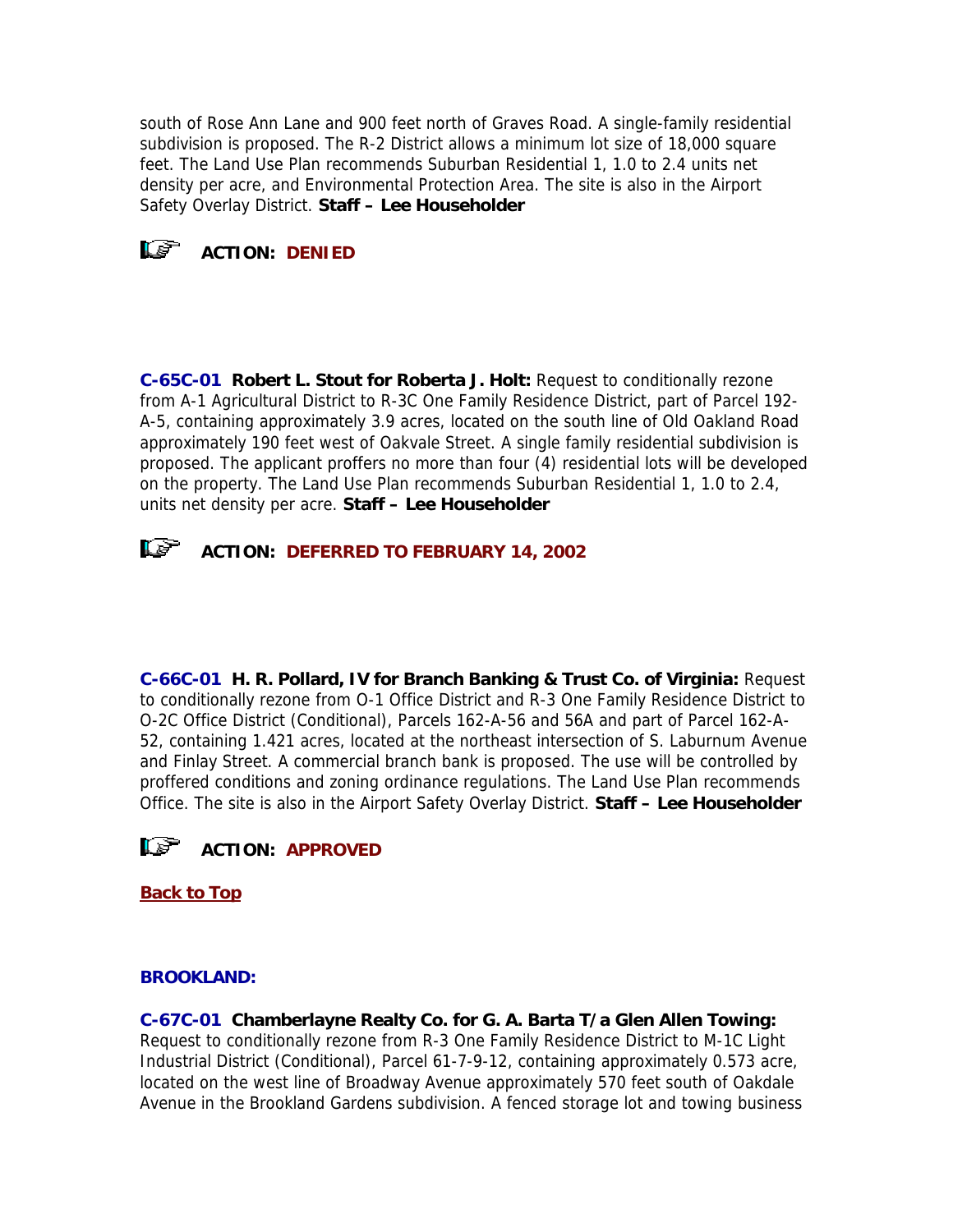south of Rose Ann Lane and 900 feet north of Graves Road. A single-family residential subdivision is proposed. The R-2 District allows a minimum lot size of 18,000 square feet. The Land Use Plan recommends Suburban Residential 1, 1.0 to 2.4 units net density per acre, and Environmental Protection Area. The site is also in the Airport Safety Overlay District. **Staff – Lee Householder**

# **ACTION: DENIED**

**C-65C-01 Robert L. Stout for Roberta J. Holt:** Request to conditionally rezone from A-1 Agricultural District to R-3C One Family Residence District, part of Parcel 192- A-5, containing approximately 3.9 acres, located on the south line of Old Oakland Road approximately 190 feet west of Oakvale Street. A single family residential subdivision is proposed. The applicant proffers no more than four (4) residential lots will be developed on the property. The Land Use Plan recommends Suburban Residential 1, 1.0 to 2.4, units net density per acre. **Staff – Lee Householder**



**C-66C-01 H. R. Pollard, IV for Branch Banking & Trust Co. of Virginia:** Request to conditionally rezone from O-1 Office District and R-3 One Family Residence District to O-2C Office District (Conditional), Parcels 162-A-56 and 56A and part of Parcel 162-A-52, containing 1.421 acres, located at the northeast intersection of S. Laburnum Avenue and Finlay Street. A commercial branch bank is proposed. The use will be controlled by proffered conditions and zoning ordinance regulations. The Land Use Plan recommends Office. The site is also in the Airport Safety Overlay District. **Staff – Lee Householder**



**[Back to Top](http://www.co.henrico.va.us/planning/2001/dec01.htm#Top#Top)**

# **BROOKLAND:**

**C-67C-01 Chamberlayne Realty Co. for G. A. Barta T/a Glen Allen Towing:** Request to conditionally rezone from R-3 One Family Residence District to M-1C Light Industrial District (Conditional), Parcel 61-7-9-12, containing approximately 0.573 acre, located on the west line of Broadway Avenue approximately 570 feet south of Oakdale Avenue in the Brookland Gardens subdivision. A fenced storage lot and towing business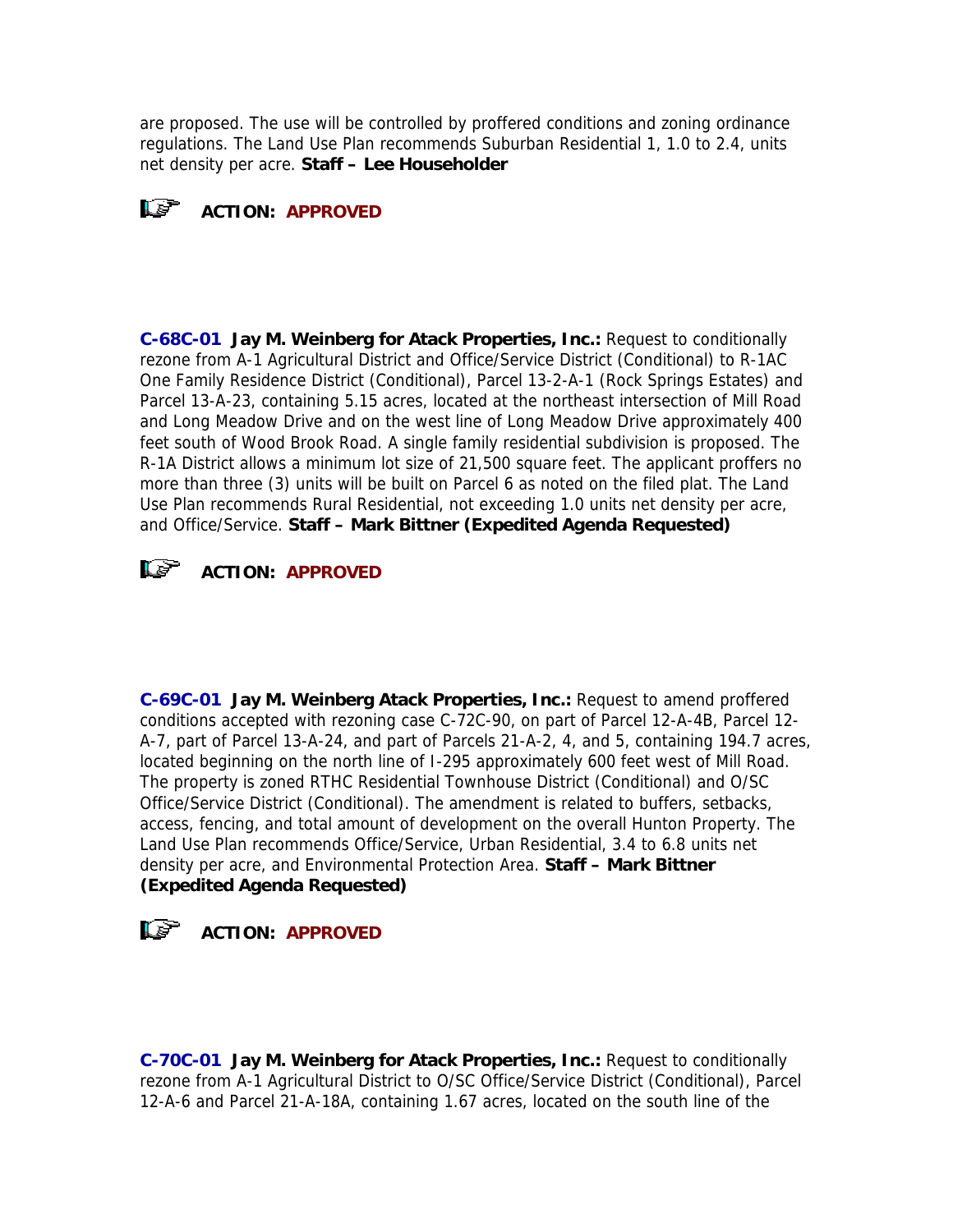are proposed. The use will be controlled by proffered conditions and zoning ordinance regulations. The Land Use Plan recommends Suburban Residential 1, 1.0 to 2.4, units net density per acre. **Staff – Lee Householder**



**C-68C-01 Jay M. Weinberg for Atack Properties, Inc.:** Request to conditionally rezone from A-1 Agricultural District and Office/Service District (Conditional) to R-1AC One Family Residence District (Conditional), Parcel 13-2-A-1 (Rock Springs Estates) and Parcel 13-A-23, containing 5.15 acres, located at the northeast intersection of Mill Road and Long Meadow Drive and on the west line of Long Meadow Drive approximately 400 feet south of Wood Brook Road. A single family residential subdivision is proposed. The R-1A District allows a minimum lot size of 21,500 square feet. The applicant proffers no more than three (3) units will be built on Parcel 6 as noted on the filed plat. The Land Use Plan recommends Rural Residential, not exceeding 1.0 units net density per acre, and Office/Service. **Staff – Mark Bittner (Expedited Agenda Requested)**



**C-69C-01 Jay M. Weinberg Atack Properties, Inc.:** Request to amend proffered conditions accepted with rezoning case C-72C-90, on part of Parcel 12-A-4B, Parcel 12- A-7, part of Parcel 13-A-24, and part of Parcels 21-A-2, 4, and 5, containing 194.7 acres, located beginning on the north line of I-295 approximately 600 feet west of Mill Road. The property is zoned RTHC Residential Townhouse District (Conditional) and O/SC Office/Service District (Conditional). The amendment is related to buffers, setbacks, access, fencing, and total amount of development on the overall Hunton Property. The Land Use Plan recommends Office/Service, Urban Residential, 3.4 to 6.8 units net density per acre, and Environmental Protection Area. **Staff – Mark Bittner (Expedited Agenda Requested)**



**ACTION: APPROVED**

**C-70C-01 Jay M. Weinberg for Atack Properties, Inc.:** Request to conditionally rezone from A-1 Agricultural District to O/SC Office/Service District (Conditional), Parcel 12-A-6 and Parcel 21-A-18A, containing 1.67 acres, located on the south line of the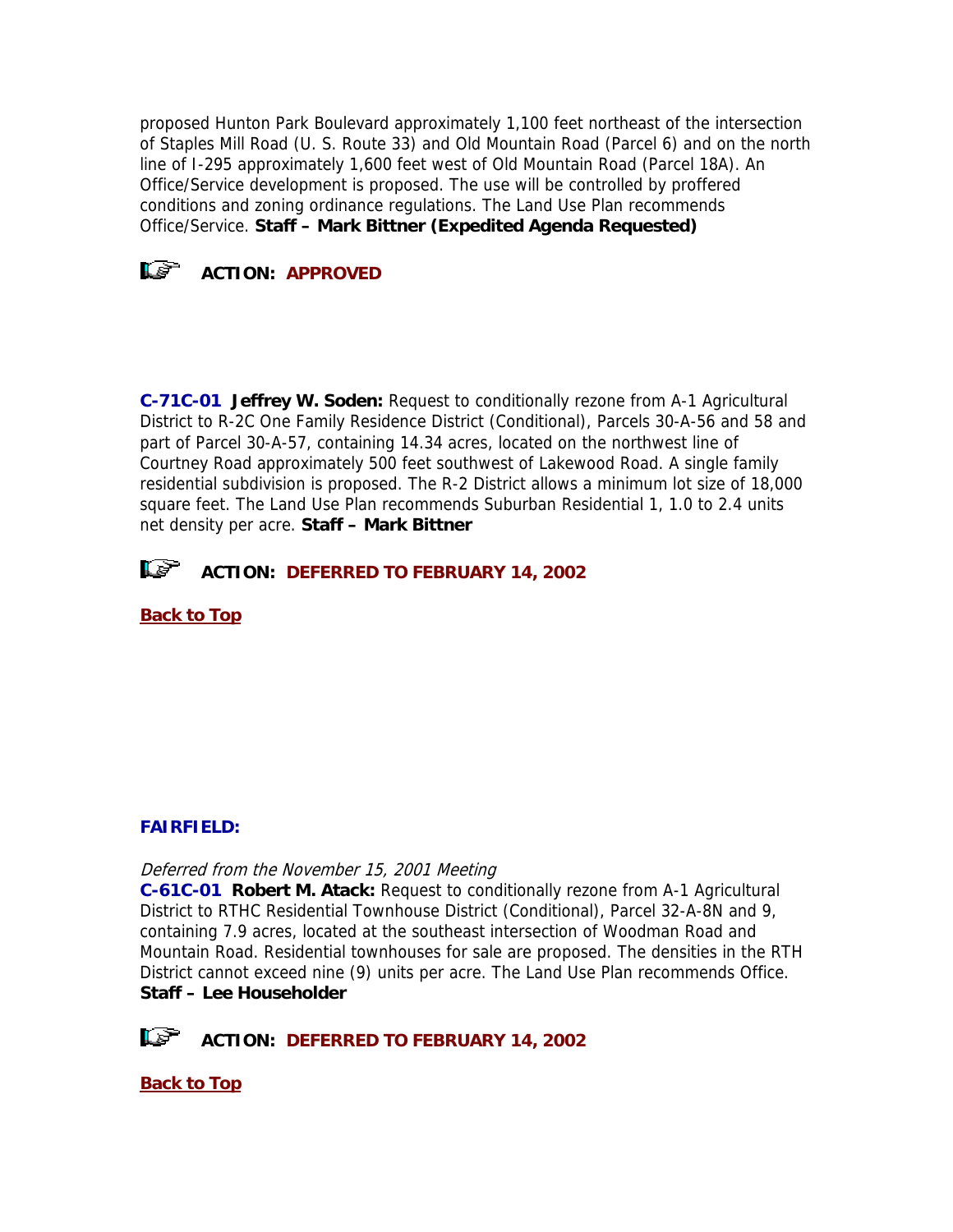proposed Hunton Park Boulevard approximately 1,100 feet northeast of the intersection of Staples Mill Road (U. S. Route 33) and Old Mountain Road (Parcel 6) and on the north line of I-295 approximately 1,600 feet west of Old Mountain Road (Parcel 18A). An Office/Service development is proposed. The use will be controlled by proffered conditions and zoning ordinance regulations. The Land Use Plan recommends Office/Service. **Staff – Mark Bittner (Expedited Agenda Requested)**



**C-71C-01 Jeffrey W. Soden:** Request to conditionally rezone from A-1 Agricultural District to R-2C One Family Residence District (Conditional), Parcels 30-A-56 and 58 and part of Parcel 30-A-57, containing 14.34 acres, located on the northwest line of Courtney Road approximately 500 feet southwest of Lakewood Road. A single family residential subdivision is proposed. The R-2 District allows a minimum lot size of 18,000 square feet. The Land Use Plan recommends Suburban Residential 1, 1.0 to 2.4 units net density per acre. **Staff – Mark Bittner**

**ACTION: DEFERRED TO FEBRUARY 14, 2002**

**[Back to Top](http://www.co.henrico.va.us/planning/2001/dec01.htm#Top#Top)**

# **FAIRFIELD:**

Deferred from the November 15, 2001 Meeting

**C-61C-01 Robert M. Atack:** Request to conditionally rezone from A-1 Agricultural District to RTHC Residential Townhouse District (Conditional), Parcel 32-A-8N and 9, containing 7.9 acres, located at the southeast intersection of Woodman Road and Mountain Road. Residential townhouses for sale are proposed. The densities in the RTH District cannot exceed nine (9) units per acre. The Land Use Plan recommends Office. **Staff – Lee Householder**



**ACTION: DEFERRED TO FEBRUARY 14, 2002** 

**[Back to Top](http://www.co.henrico.va.us/planning/2001/dec01.htm#Top#Top)**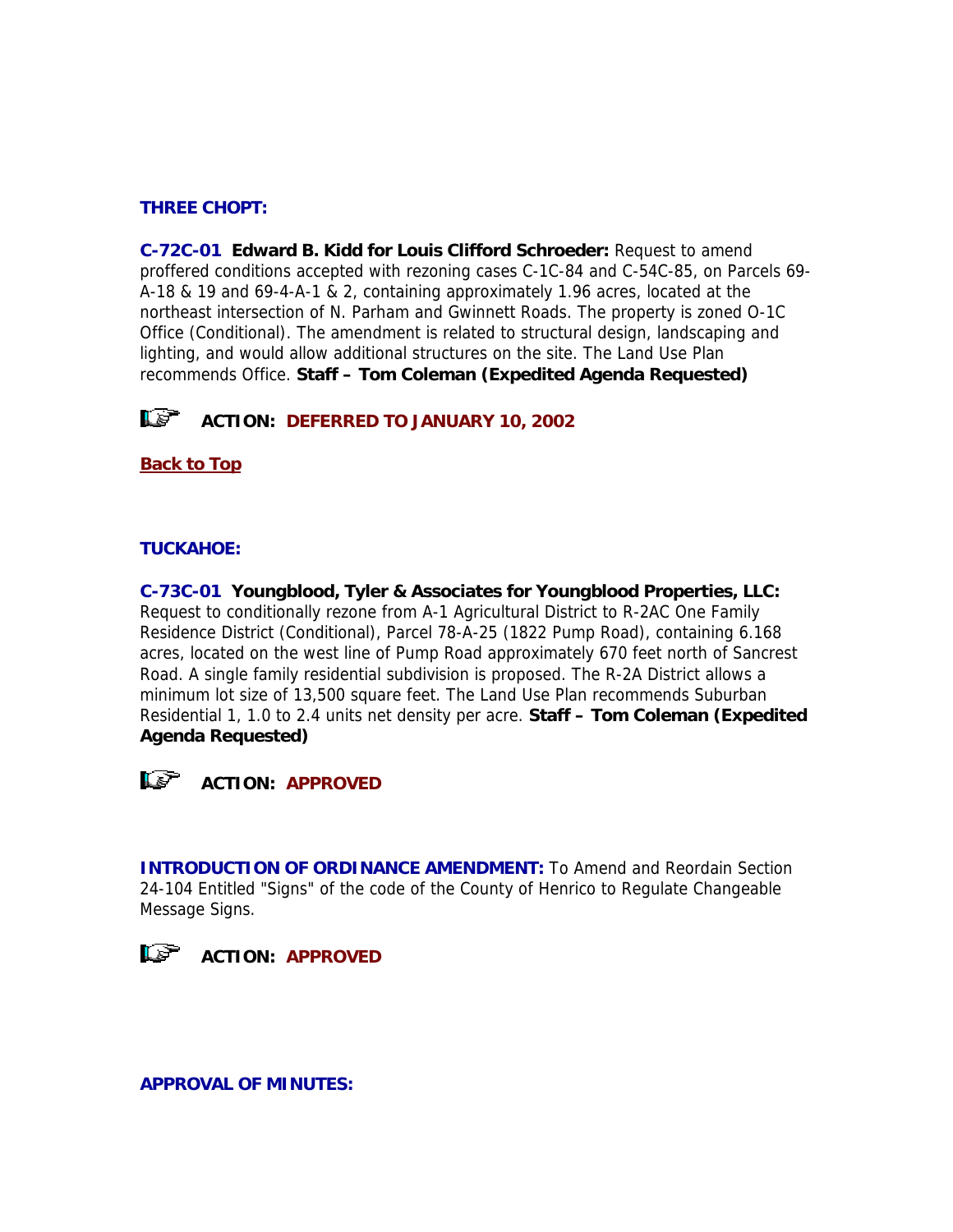# **THREE CHOPT:**

**C-72C-01 Edward B. Kidd for Louis Clifford Schroeder:** Request to amend proffered conditions accepted with rezoning cases C-1C-84 and C-54C-85, on Parcels 69- A-18 & 19 and 69-4-A-1 & 2, containing approximately 1.96 acres, located at the northeast intersection of N. Parham and Gwinnett Roads. The property is zoned O-1C Office (Conditional). The amendment is related to structural design, landscaping and lighting, and would allow additional structures on the site. The Land Use Plan recommends Office. **Staff – Tom Coleman (Expedited Agenda Requested)**

**ACTION: DEFERRED TO JANUARY 10, 2002** 

**[Back to Top](http://www.co.henrico.va.us/planning/2001/dec01.htm#Top#Top)**

# **TUCKAHOE:**

**C-73C-01 Youngblood, Tyler & Associates for Youngblood Properties, LLC:** Request to conditionally rezone from A-1 Agricultural District to R-2AC One Family Residence District (Conditional), Parcel 78-A-25 (1822 Pump Road), containing 6.168 acres, located on the west line of Pump Road approximately 670 feet north of Sancrest Road. A single family residential subdivision is proposed. The R-2A District allows a minimum lot size of 13,500 square feet. The Land Use Plan recommends Suburban Residential 1, 1.0 to 2.4 units net density per acre. **Staff – Tom Coleman (Expedited Agenda Requested)**



**INTRODUCTION OF ORDINANCE AMENDMENT:** To Amend and Reordain Section 24-104 Entitled "Signs" of the code of the County of Henrico to Regulate Changeable Message Signs.



**APPROVAL OF MINUTES:**